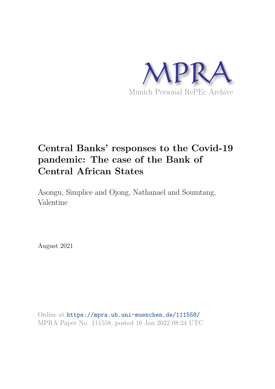

## **Central Banks' responses to the Covid-19 pandemic: The case of the Bank of Central African States**

Asongu, Simplice and Ojong, Nathanael and Soumtang, Valentine

August 2021

Online at https://mpra.ub.uni-muenchen.de/111558/ MPRA Paper No. 111558, posted 16 Jan 2022 08:24 UTC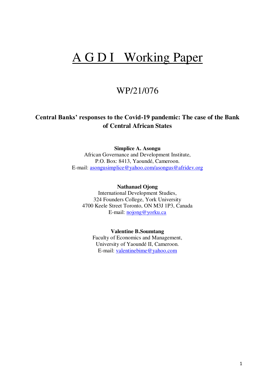# A G D I Working Paper

### WP/21/076

### **Central Banks' responses to the Covid-19 pandemic: The case of the Bank of Central African States**

#### **Simplice A. Asongu**

African Governance and Development Institute, P.O. Box: 8413, Yaoundé, Cameroon. E-mail: [asongusimplice@yahoo.com/asongus@afridev.org](mailto:asongusimplice@yahoo.com)

#### **Nathanael Ojong**

International Development Studies, 324 Founders College, York University 4700 Keele Street Toronto, ON M3J 1P3, Canada E-mail: [nojong@yorku.ca](mailto:nojong@yorku.ca)

#### **Valentine B.Soumtang**

Faculty of Economics and Management, University of Yaoundé II, Cameroon. E-mail: [valentinebime@yahoo.com](mailto:valentinebime@yahoo.com)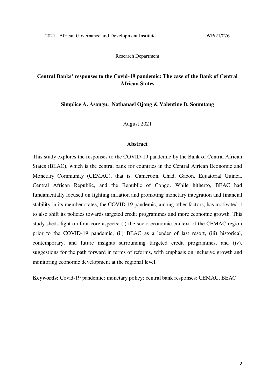Research Department

#### **Central Banks' responses to the Covid-19 pandemic: The case of the Bank of Central African States**

**Simplice A. Asongu, Nathanael Ojong & Valentine B. Soumtang** 

August 2021

#### **Abstract**

This study explores the responses to the COVID-19 pandemic by the Bank of Central African States (BEAC), which is the central bank for countries in the Central African Economic and Monetary Community (CEMAC), that is, Cameroon, Chad, Gabon, Equatorial Guinea, Central African Republic, and the Republic of Congo. While hitherto, BEAC had fundamentally focused on fighting inflation and promoting monetary integration and financial stability in its member states, the COVID-19 pandemic, among other factors, has motivated it to also shift its policies towards targeted credit programmes and more economic growth. This study sheds light on four core aspects: (i) the socio-economic context of the CEMAC region prior to the COVID-19 pandemic, (ii) BEAC as a lender of last resort, (iii) historical, contemporary, and future insights surrounding targeted credit programmes, and (iv), suggestions for the path forward in terms of reforms, with emphasis on inclusive growth and monitoring economic development at the regional level.

**Keywords:** Covid-19 pandemic; monetary policy; central bank responses; CEMAC, BEAC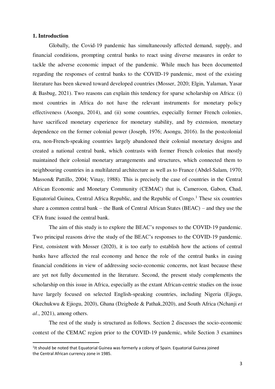#### **1. Introduction**

<u>.</u>

Globally, the Covid-19 pandemic has simultaneously affected demand, supply, and financial conditions, prompting central banks to react using diverse measures in order to tackle the adverse economic impact of the pandemic. While much has been documented regarding the responses of central banks to the COVID-19 pandemic, most of the existing literature has been skewed toward developed countries (Mosser, 2020; Elgin, Yalaman, Yasar & Basbug, 2021). Two reasons can explain this tendency for sparse scholarship on Africa: (i) most countries in Africa do not have the relevant instruments for monetary policy effectiveness (Asongu, 2014), and (ii) some countries, especially former French colonies, have sacrificed monetary experience for monetary stability, and by extension, monetary dependence on the former colonial power (Joseph, 1976; Asongu, 2016). In the postcolonial era, non-French-speaking countries largely abandoned their colonial monetary designs and created a national central bank, which contrasts with former French colonies that mostly maintained their colonial monetary arrangements and structures, which connected them to neighbouring countries in a multilateral architecture as well as to France (Abdel-Salam, 1970; Masson& Pattillo, 2004; Vinay, 1988). This is precisely the case of countries in the Central African Economic and Monetary Community (CEMAC) that is, Cameroon, Gabon, Chad, Equatorial Guinea, Central Africa Republic, and the Republic of Congo.<sup>1</sup> These six countries share a common central bank – the Bank of Central African States (BEAC) – and they use the CFA franc issued the central bank.

The aim of this study is to explore the BEAC's responses to the COVID-19 pandemic. Two principal reasons drive the study of the BEAC's responses to the COVID-19 pandemic. First, consistent with Mosser (2020), it is too early to establish how the actions of central banks have affected the real economy and hence the role of the central banks in easing financial conditions in view of addressing socio-economic concerns, not least because these are yet not fully documented in the literature. Second, the present study complements the scholarship on this issue in Africa, especially as the extant African-centric studies on the issue have largely focused on selected English-speaking countries, including Nigeria (Ejiogu, Okechukwu & Ejiogu, 2020), Ghana (Dzigbede & Pathak,2020), and South Africa (Nchanji *et al*., 2021), among others.

The rest of the study is structured as follows. Section 2 discusses the socio-economic context of the CEMAC region prior to the COVID-19 pandemic, while Section 3 examines

<sup>&</sup>lt;sup>1</sup>lt should be noted that Equatorial Guinea was formerly a colony of Spain. Equatorial Guinea joined the Central African currency zone in 1985.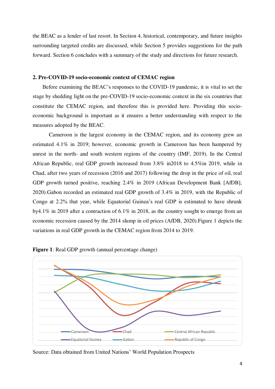the BEAC as a lender of last resort. In Section 4, historical, contemporary, and future insights surrounding targeted credits are discussed, while Section 5 provides suggestions for the path forward. Section 6 concludes with a summary of the study and directions for future research.

#### **2. Pre-COVID-19 socio-economic context of CEMAC region**

 Before examining the BEAC's responses to the COVID-19 pandemic, it is vital to set the stage by shedding light on the pre-COVID-19 socio-economic context in the six countries that constitute the CEMAC region, and therefore this is provided here. Providing this socioeconomic background is important as it ensures a better understanding with respect to the measures adopted by the BEAC.

Cameroon is the largest economy in the CEMAC region, and its economy grew an estimated 4.1% in 2019; however, economic growth in Cameroon has been hampered by unrest in the north- and south western regions of the country (IMF, 2019). In the Central African Republic, real GDP growth increased from 3.8% in2018 to 4.5%in 2019, while in Chad, after two years of recession (2016 and 2017) following the drop in the price of oil, real GDP growth turned positive, reaching 2.4% in 2019 (African Development Bank [AfDB], 2020).Gabon recorded an estimated real GDP growth of 3.4% in 2019, with the Republic of Congo at 2.2% that year, while Equatorial Guinea's real GDP is estimated to have shrunk by4.1% in 2019 after a contraction of 6.1% in 2018, as the country sought to emerge from an economic recession caused by the 2014 slump in oil prices (AfDB, 2020).Figure 1 depicts the variations in real GDP growth in the CEMAC region from 2014 to 2019.



**Figure 1**: Real GDP growth (annual percentage change)

Source: Data obtained from United Nations' World Population Prospects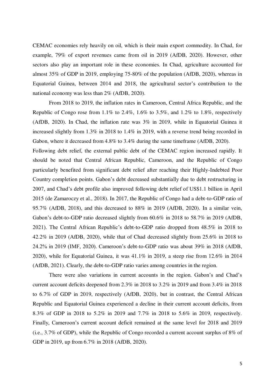CEMAC economies rely heavily on oil, which is their main export commodity. In Chad, for example, 79% of export revenues came from oil in 2019 (AfDB, 2020). However, other sectors also play an important role in these economies. In Chad, agriculture accounted for almost 35% of GDP in 2019, employing 75-80% of the population (AfDB, 2020), whereas in Equatorial Guinea, between 2014 and 2018, the agricultural sector's contribution to the national economy was less than 2% (AfDB, 2020).

From 2018 to 2019, the inflation rates in Cameroon, Central Africa Republic, and the Republic of Congo rose from 1.1% to 2.4%, 1.6% to 3.5%, and 1.2% to 1.8%, respectively (AfDB, 2020). In Chad, the inflation rate was 3% in 2019, while in Equatorial Guinea it increased slightly from 1.3% in 2018 to 1.4% in 2019, with a reverse trend being recorded in Gabon, where it decreased from 4.8% to 3.4% during the same time frame (AfDB, 2020). Following debt relief, the external public debt of the CEMAC region increased rapidly. It should be noted that Central African Republic, Cameroon, and the Republic of Congo particularly benefited from significant debt relief after reaching their Highly-Indebted Poor Country completion points. Gabon's debt decreased substantially due to debt restructuring in 2007, and Chad's debt profile also improved following debt relief of US\$1.1 billion in April 2015 (de Zamaroczy et al., 2018). In 2017, the Republic of Congo had a debt-to-GDP ratio of 95.7% (AfDB, 2018), and this decreased to 88% in 2019 (AfDB, 2020). In a similar vein, Gabon's debt-to-GDP ratio decreased slightly from  $60.6\%$  in 2018 to 58.7% in 2019 (AfDB, 2021). The Central African Republic's debt-to-GDP ratio dropped from 48.5% in 2018 to 42.2% in 2019 (AfDB, 2020), while that of Chad decreased slightly from 25.6% in 2018 to 24.2% in 2019 (IMF, 2020). Cameroon's debt-to-GDP ratio was about 39% in 2018 (AfDB, 2020), while for Equatorial Guinea, it was 41.1% in 2019, a steep rise from 12.6% in 2014 (AfDB, 2021). Clearly, the debt-to-GDP ratio varies among countries in the region.

There were also variations in current accounts in the region. Gabon's and Chad's current account deficits deepened from 2.3% in 2018 to 3.2% in 2019 and from 3.4% in 2018 to 6.7% of GDP in 2019, respectively (AfDB, 2020), but in contrast, the Central African Republic and Equatorial Guinea experienced a decline in their current account deficits, from 8.3% of GDP in 2018 to 5.2% in 2019 and 7.7% in 2018 to 5.6% in 2019, respectively. Finally, Cameroon's current account deficit remained at the same level for 2018 and 2019 (i.e., 3.7% of GDP), while the Republic of Congo recorded a current account surplus of 8% of GDP in 2019, up from 6.7% in 2018 (AfDB, 2020).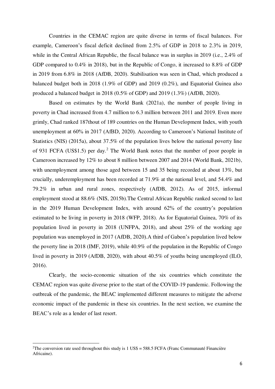Countries in the CEMAC region are quite diverse in terms of fiscal balances. For example, Cameroon's fiscal deficit declined from 2.5% of GDP in 2018 to 2.3% in 2019, while in the Central African Republic, the fiscal balance was in surplus in 2019 (i.e., 2.4% of GDP compared to 0.4% in 2018), but in the Republic of Congo, it increased to 8.8% of GDP in 2019 from 6.8% in 2018 (AfDB, 2020). Stabilisation was seen in Chad, which produced a balanced budget both in 2018 (1.9% of GDP) and 2019 (0.2%), and Equatorial Guinea also produced a balanced budget in 2018 (0.5% of GDP) and 2019 (1.3%) (AfDB, 2020).

Based on estimates by the World Bank (2021a), the number of people living in poverty in Chad increased from 4.7 million to 6.3 million between 2011 and 2019. Even more grimly, Chad ranked 187thout of 189 countries on the Human Development Index, with youth unemployment at 60% in 2017 (AfBD, 2020). According to Cameroon's National Institute of Statistics (NIS) (2015a), about 37.5% of the population lives below the national poverty line of 931 FCFA (US\$1.5) per day.<sup>2</sup> The World Bank notes that the number of poor people in Cameroon increased by 12% to about 8 million between 2007 and 2014 (World Bank, 2021b), with unemployment among those aged between 15 and 35 being recorded at about 13%, but crucially, underemployment has been recorded at 71.9% at the national level, and 54.4% and 79.2% in urban and rural zones, respectively (AfDB, 2012). As of 2015, informal employment stood at 88.6% (NIS, 2015b).The Central African Republic ranked second to last in the 2019 Human Development Index, with around 62% of the country's population estimated to be living in poverty in 2018 (WFP, 2018). As for Equatorial Guinea, 70% of its population lived in poverty in 2018 (UNFPA, 2018), and about 25% of the working age population was unemployed in 2017 (AfDB, 2020).A third of Gabon's population lived below the poverty line in 2018 (IMF, 2019), while 40.9% of the population in the Republic of Congo lived in poverty in 2019 (AfDB, 2020), with about 40.5% of youths being unemployed (ILO, 2016).

Clearly, the socio-economic situation of the six countries which constitute the CEMAC region was quite diverse prior to the start of the COVID-19 pandemic. Following the outbreak of the pandemic, the BEAC implemented different measures to mitigate the adverse economic impact of the pandemic in these six countries. In the next section, we examine the BEAC's role as a lender of last resort.

-

<sup>&</sup>lt;sup>2</sup>The conversion rate used throughout this study is  $1 \text{ US}\$$  = 588.5 FCFA (Franc Communauté Financière Africaine).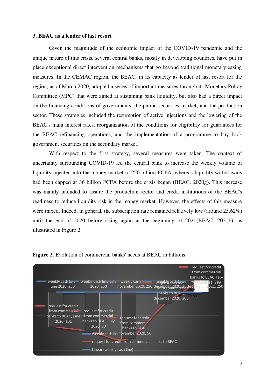#### **3. BEAC as a lender of last resort**

Given the magnitude of the economic impact of the COVID-19 pandemic and the unique nature of this crisis, several central banks, mostly in developing countries, have put in place exceptional direct intervention mechanisms that go beyond traditional monetary easing measures. In the CEMAC region, the BEAC, in its capacity as lender of last resort for the region, as of March 2020, adopted a series of important measures through its Monetary Policy Committee (MPC) that were aimed at sustaining bank liquidity, but also had a direct impact on the financing conditions of governments, the public securities market, and the production sector. These strategies included the resumption of active injections and the lowering of the BEAC's main interest rates, reorganization of the conditions for eligibility for guarantees for the BEAC refinancing operations, and the implementation of a programme to buy back government securities on the secondary market.

With respect to the first strategy, several measures were taken. The context of uncertainty surrounding COVID-19 led the central bank to increase the weekly volume of liquidity injected into the money market to 250 billion FCFA, whereas liquidity withdrawals had been capped at 36 billion FCFA before the crisis began (BEAC, 2020g). This increase was mainly intended to assure the production sector and credit institutions of the BEAC's readiness to reduce liquidity risk in the money market. However, the effects of this measure were mixed. Indeed, in general, the subscription rate remained relatively low (around 25.62%) until the end of 2020 before rising again at the beginning of 2021(BEAC, 2021b), as illustrated in Figure 2.



**Figure 2**: Evolution of commercial banks' needs at BEAC in billions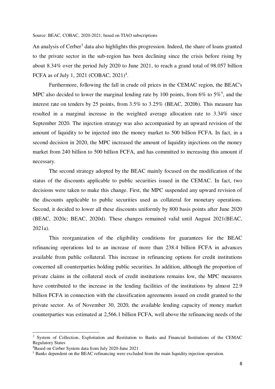Source: BEAC, COBAC, 2020-2021; based on TIAO subscriptions

An analysis of Cerber<sup>3</sup> data also highlights this progression. Indeed, the share of loans granted to the private sector in the sub-region has been declining since the crisis before rising by about 8.34% over the period July 2020 to June 2021, to reach a grand total of 98.057 billion FCFA as of July 1, 2021 (COBAC, 2021)<sup>4</sup>.

Furthermore, following the fall in crude oil prices in the CEMAC region, the BEAC's MPC also decided to lower the marginal lending rate by 100 points, from  $6\%$  to  $5\%$ <sup>5</sup>, and the interest rate on tenders by 25 points, from 3.5% to 3.25% (BEAC, 2020b). This measure has resulted in a marginal increase in the weighted average allocation rate to 3.34% since September 2020. The injection strategy was also accompanied by an upward revision of the amount of liquidity to be injected into the money market to 500 billion FCFA. In fact, in a second decision in 2020, the MPC increased the amount of liquidity injections on the money market from 240 billion to 500 billion FCFA, and has committed to increasing this amount if necessary.

The second strategy adopted by the BEAC mainly focused on the modification of the status of the discounts applicable to public securities issued in the CEMAC. In fact, two decisions were taken to make this change. First, the MPC suspended any upward revision of the discounts applicable to public securities used as collateral for monetary operations. Second, it decided to lower all these discounts uniformly by 800 basis points after June 2020 (BEAC, 2020c; BEAC, 2020d). These changes remained valid until August 2021(BEAC, 2021a).

This reorganization of the eligibility conditions for guarantees for the BEAC refinancing operations led to an increase of more than 238.4 billion FCFA in advances available from public collateral. This increase in refinancing options for credit institutions concerned all counterparties holding public securities. In addition, although the proportion of private claims in the collateral stock of credit institutions remains low, the MPC measures have contributed to the increase in the lending facilities of the institutions by almost 22.9 billion FCFA in connection with the classification agreements issued on credit granted to the private sector. As of November 30, 2020, the available lending capacity of money market counterparties was estimated at 2,566.1 billion FCFA, well above the refinancing needs of the

 $\overline{a}$ 

<sup>&</sup>lt;sup>3</sup> System of Collection, Exploitation and Restitution to Banks and Financial Institutions of the CEMAC Regulatory States

<sup>4</sup>Based on Cerber System data from July 2020-June 2021

<sup>&</sup>lt;sup>5</sup> Banks dependent on the BEAC refinancing were excluded from the main liquidity injection operation.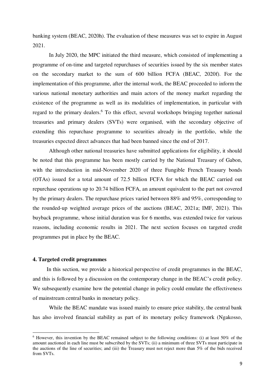banking system (BEAC, 2020h). The evaluation of these measures was set to expire in August 2021.

In July 2020, the MPC initiated the third measure, which consisted of implementing a programme of on-time and targeted repurchases of securities issued by the six member states on the secondary market to the sum of 600 billion FCFA (BEAC, 2020f). For the implementation of this programme, after the internal work, the BEAC proceeded to inform the various national monetary authorities and main actors of the money market regarding the existence of the programme as well as its modalities of implementation, in particular with regard to the primary dealers.<sup>6</sup> To this effect, several workshops bringing together national treasuries and primary dealers (SVTs) were organised, with the secondary objective of extending this repurchase programme to securities already in the portfolio, while the treasuries expected direct advances that had been banned since the end of 2017.

Although other national treasuries have submitted applications for eligibility, it should be noted that this programme has been mostly carried by the National Treasury of Gabon, with the introduction in mid-November 2020 of three Fungible French Treasury bonds (OTAs) issued for a total amount of 72.5 billion FCFA for which the BEAC carried out repurchase operations up to 20.74 billion FCFA, an amount equivalent to the part not covered by the primary dealers. The repurchase prices varied between 88% and 95%, corresponding to the rounded-up weighted average prices of the auctions (BEAC, 2021a; IMF, 2021). This buyback programme, whose initial duration was for 6 months, was extended twice for various reasons, including economic results in 2021. The next section focuses on targeted credit programmes put in place by the BEAC.

#### **4. Targeted credit programmes**

<u>.</u>

 In this section, we provide a historical perspective of credit programmes in the BEAC, and this is followed by a discussion on the contemporary change in the BEAC's credit policy. We subsequently examine how the potential change in policy could emulate the effectiveness of mainstream central banks in monetary policy.

 While the BEAC mandate was issued mainly to ensure price stability, the central bank has also involved financial stability as part of its monetary policy framework (Ngakosso,

<sup>&</sup>lt;sup>6</sup> However, this invention by the BEAC remained subject to the following conditions: (i) at least 50% of the amount auctioned in each line must be subscribed by the SVTs; (ii) a minimum of three SVTs must participate in the auctions of the line of securities; and (iii) the Treasury must not reject more than 5% of the bids received from SVTs.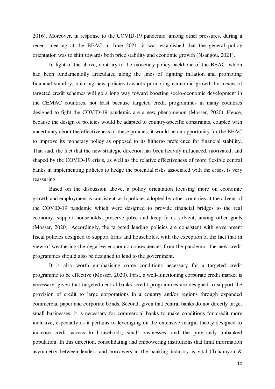2016). Moreover, in response to the COVID-19 pandemic, among other pressures, during a recent meeting at the BEAC in June 2021, it was established that the general policy orientation was to shift towards both price stability and economic growth (Nsangou, 2021).

In light of the above, contrary to the monetary policy backbone of the BEAC, which had been fundamentally articulated along the lines of fighting inflation and promoting financial stability, tailoring new policies towards promoting economic growth by means of targeted credit schemes will go a long way toward boosting socio-economic development in the CEMAC countries, not least because targeted credit programmes in many countries designed to fight the COVID-19 pandemic are a new phenomenon (Mosser, 2020). Hence, because the design of policies would be adapted to country-specific constraints, coupled with uncertainty about the effectiveness of these policies, it would be an opportunity for the BEAC to improve its monetary policy as opposed to its hitherto preference for financial stability. That said, the fact that the new strategic direction has been heavily influenced, motivated, and shaped by the COVID-19 crisis, as well as the relative effectiveness of more flexible central banks in implementing policies to hedge the potential risks associated with the crisis, is very reassuring.

 Based on the discussion above, a policy orientation focusing more on economic growth and employment is consistent with policies adopted by other countries at the advent of the COVID-19 pandemic which were designed to provide financial bridges to the real economy, support households, preserve jobs, and keep firms solvent, among other goals (Mosser, 2020). Accordingly, the targeted lending policies are consistent with government fiscal policies designed to support firms and households, with the exception of the fact that in view of weathering the negative economic consequences from the pandemic, the new credit programmes should also be designed to lend to the government.

 It is also worth emphasising some conditions necessary for a targeted credit programme to be effective (Mosser, 2020). First, a well-functioning corporate credit market is necessary, given that targeted central banks' credit programmes are designed to support the provision of credit to large corporations in a country and/or regions through expanded commercial paper and corporate bonds. Second, given that central banks do not directly target small businesses, it is necessary for commercial banks to make conditions for credit more inclusive, especially as it pertains to leveraging on the extensive margin theory designed to increase credit access to households, small businesses, and the previously unbanked population. In this direction, consolidating and empowering institutions that limit information asymmetry between lenders and borrowers in the banking industry is vital (Tchamyou &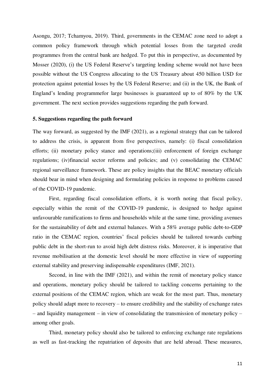Asongu, 2017; Tchamyou, 2019). Third, governments in the CEMAC zone need to adopt a common policy framework through which potential losses from the targeted credit programmes from the central bank are hedged. To put this in perspective, as documented by Mosser (2020), (i) the US Federal Reserve's targeting lending scheme would not have been possible without the US Congress allocating to the US Treasury about 450 billion USD for protection against potential losses by the US Federal Reserve; and (ii) in the UK, the Bank of England's lending programmefor large businesses is guaranteed up to of 80% by the UK government. The next section provides suggestions regarding the path forward.

#### **5. Suggestions regarding the path forward**

The way forward, as suggested by the IMF (2021), as a regional strategy that can be tailored to address the crisis, is apparent from five perspectives, namely: (i) fiscal consolidation efforts; (ii) monetary policy stance and operations;(iii) enforcement of foreign exchange regulations; (iv)financial sector reforms and policies; and (v) consolidating the CEMAC regional surveillance framework. These are policy insights that the BEAC monetary officials should bear in mind when designing and formulating policies in response to problems caused of the COVID-19 pandemic.

 First, regarding fiscal consolidation efforts, it is worth noting that fiscal policy, especially within the remit of the COVID-19 pandemic, is designed to hedge against unfavourable ramifications to firms and households while at the same time, providing avenues for the sustainability of debt and external balances. With a 58% average public debt-to-GDP ratio in the CEMAC region, countries' fiscal policies should be tailored towards curbing public debt in the short-run to avoid high debt distress risks. Moreover, it is imperative that revenue mobilisation at the domestic level should be more effective in view of supporting external stability and preserving indispensable expenditures (IMF, 2021).

 Second, in line with the IMF (2021), and within the remit of monetary policy stance and operations, monetary policy should be tailored to tackling concerns pertaining to the external positions of the CEMAC region, which are weak for the most part. Thus, monetary policy should adapt more to recovery – to ensure credibility and the stability of exchange rates – and liquidity management – in view of consolidating the transmission of monetary policy – among other goals.

 Third, monetary policy should also be tailored to enforcing exchange rate regulations as well as fast-tracking the repatriation of deposits that are held abroad. These measures,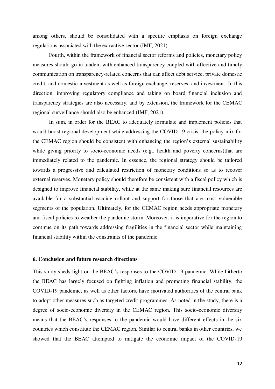among others, should be consolidated with a specific emphasis on foreign exchange regulations associated with the extractive sector (IMF, 2021).

 Fourth, within the framework of financial sector reforms and policies, monetary policy measures should go in tandem with enhanced transparency coupled with effective and timely communication on transparency-related concerns that can affect debt service, private domestic credit, and domestic investment as well as foreign exchange, reserves, and investment. In this direction, improving regulatory compliance and taking on board financial inclusion and transparency strategies are also necessary, and by extension, the framework for the CEMAC regional surveillance should also be enhanced (IMF, 2021).

 In sum, in order for the BEAC to adequately formulate and implement policies that would boost regional development while addressing the COVID-19 crisis, the policy mix for the CEMAC region should be consistent with enhancing the region's external sustainability while giving priority to socio-economic needs (e.g., health and poverty concerns) that are immediately related to the pandemic. In essence, the regional strategy should be tailored towards a progressive and calculated restriction of monetary conditions so as to recover external reserves. Monetary policy should therefore be consistent with a fiscal policy which is designed to improve financial stability, while at the same making sure financial resources are available for a substantial vaccine rollout and support for those that are most vulnerable segments of the population. Ultimately, for the CEMAC region needs appropriate monetary and fiscal policies to weather the pandemic storm. Moreover, it is imperative for the region to continue on its path towards addressing fragilities in the financial sector while maintaining financial stability within the constraints of the pandemic.

#### **6. Conclusion and future research directions**

This study sheds light on the BEAC's responses to the COVID-19 pandemic. While hitherto the BEAC has largely focused on fighting inflation and promoting financial stability, the COVID-19 pandemic, as well as other factors, have motivated authorities of the central bank to adopt other measures such as targeted credit programmes. As noted in the study, there is a degree of socio-economic diversity in the CEMAC region. This socio-economic diversity means that the BEAC's responses to the pandemic would have different effects in the six countries which constitute the CEMAC region. Similar to central banks in other countries, we showed that the BEAC attempted to mitigate the economic impact of the COVID-19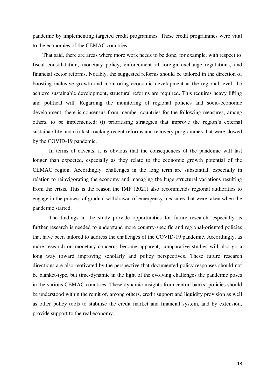pandemic by implementing targeted credit programmes. These credit programmes were vital to the economies of the CEMAC countries.

 That said, there are areas where more work needs to be done, for example, with respect to fiscal consolidation, monetary policy, enforcement of foreign exchange regulations, and financial sector reforms. Notably, the suggested reforms should be tailored in the direction of boosting inclusive growth and monitoring economic development at the regional level. To achieve sustainable development, structural reforms are required. This requires heavy lifting and political will. Regarding the monitoring of regional policies and socio-economic development, there is consensus from member countries for the following measures, among others, to be implemented: (i) prioritising strategies that improve the region's external sustainability and (ii) fast-tracking recent reforms and recovery programmes that were slowed by the COVID-19 pandemic.

 In terms of caveats, it is obvious that the consequences of the pandemic will last longer than expected, especially as they relate to the economic growth potential of the CEMAC region. Accordingly, challenges in the long term are substantial, especially in relation to reinvigorating the economy and managing the huge structural variations resulting from the crisis. This is the reason the IMF (2021) also recommends regional authorities to engage in the process of gradual withdrawal of emergency measures that were taken when the pandemic started.

 The findings in the study provide opportunities for future research, especially as further research is needed to understand more country-specific and regional-oriented policies that have been tailored to address the challenges of the COVID-19 pandemic. Accordingly, as more research on monetary concerns become apparent, comparative studies will also go a long way toward improving scholarly and policy perspectives. These future research directions are also motivated by the perspective that documented policy responses should not be blanket-type, but time-dynamic in the light of the evolving challenges the pandemic poses in the various CEMAC countries. These dynamic insights from central banks' policies should be understood within the remit of, among others, credit support and liquidity provision as well as other policy tools to stabilise the credit market and financial system, and by extension, provide support to the real economy.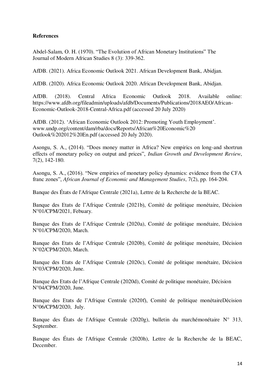#### **References**

Abdel-Salam, O. H. (1970). "The Evolution of African Monetary Institutions" The Journal of Modern African Studies 8 (3): 339-362.

AfDB. (2021). Africa Economic Outlook 2021. African Development Bank, Abidjan.

AfDB. (2020). Africa Economic Outlook 2020. African Development Bank, Abidjan.

AfDB. (2018). Central Africa Economic Outlook 2018. Available online: https://www.afdb.org/fileadmin/uploads/afdb/Documents/Publications/2018AEO/African-Economic-Outlook-2018-Central-Africa.pdf (accessed 20 July 2020)

AfDB. (2012). 'African Economic Outlook 2012: Promoting Youth Employment'. www.undp.org/content/dam/rba/docs/Reports/African%20Economic%20 Outlook%202012%20En.pdf (accessed 20 July 2020).

Asongu, S. A., (2014). "Does money matter in Africa? New empirics on long-and shortrun effects of monetary policy on output and prices", *Indian Growth and Development Review*, 7(2), 142-180.

Asongu, S. A., (2016). "New empirics of monetary policy dynamics: evidence from the CFA franc zones", *African Journal of Economic and Management Studies*, 7(2), pp. 164-204.

Banque des États de l'Afrique Centrale (2021a), Lettre de la Recherche de la BEAC.

Banque des Etats de l'Afrique Centrale (2021b), Comité de politique monétaire, Décision N°01/CPM/2021, Febuary.

Banque des Etats de l'Afrique Centrale (2020a), Comité de politique monétaire, Décision N°01/CPM/2020, March.

Banque des Etats de l'Afrique Centrale (2020b), Comité de politique monétaire, Décision N°02/CPM/2020, March.

Banque des Etats de l'Afrique Centrale (2020c), Comité de politique monétaire, Décision N°03/CPM/2020, June.

Banque des Etats de l'Afrique Centrale (2020d), Comité de politique monétaire, Décision N°04/CPM/2020, June.

Banque des Etats de l'Afrique Centrale (2020f), Comité de politique monétaireDécision N°06/CPM/2020, July.

Banque des États de l'Afrique Centrale (2020g), bulletin du marchémonétaire N° 313, September.

Banque des États de l'Afrique Centrale (2020h), Lettre de la Recherche de la BEAC, December.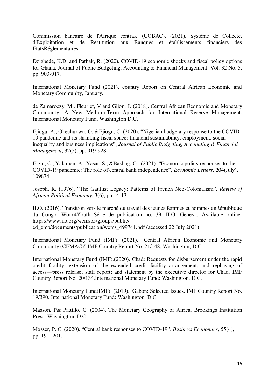Commission bancaire de l'Afrique centrale (COBAC). (2021). Système de Collecte, d'Exploitation et de Restitution aux Banques et établissements financiers des EtatsRéglementaires

Dzigbede, K.D. and Pathak, R. (2020), COVID-19 economic shocks and fiscal policy options for Ghana, Journal of Public Budgeting, Accounting & Financial Management, Vol. 32 No. 5, pp. 903-917.

International Monetary Fund (2021), country Report on Central African Economic and Monetary Community, January.

de Zamaroczy, M., Fleuriet, V and Gijon, J. (2018). Central African Economic and Monetary Community: A New Medium-Term Approach for International Reserve Management. International Monetary Fund, Washington D.C.

Ejiogu, A., Okechukwu, O. &Ejiogu, C. (2020). "Nigerian budgetary response to the COVID-19 pandemic and its shrinking fiscal space: financial sustainability, employment, social inequality and business implications", *Journal of Public Budgeting, Accounting & Financial Management*, 32(5), pp. 919-928.

Elgin, C., Yalaman, A., Yasar, S., &Basbug, G., (2021). "Economic policy responses to the COVID-19 pandemic: The role of central bank independence", *Economic Letters*, 204(July), 109874.

Joseph, R. (1976). "The Gaullist Legacy: Patterns of French Neo-Colonialism". *Review of African Political Economy*, 3(6), pp. 4-13.

ILO. (2016). Transition vers le marché du travail des jeunes femmes et hommes enRépublique du Congo. Work4Youth Série de publication no. 39. ILO: Geneva. Available online: https://www.ilo.org/wcmsp5/groups/public/---

ed\_emp/documents/publication/wcms\_499741.pdf (accessed 22 July 2021)

International Monetary Fund (IMF). (2021). "Central African Economic and Monetary Community (CEMAC)" IMF Country Report No. 21/148, Washington, D.C.

International Monetary Fund (IMF).(2020). Chad: Requests for disbursement under the rapid credit facility, extension of the extended credit facility arrangement, and rephasing of access—press release; staff report; and statement by the executive director for Chad. IMF Country Report No. 20/134.International Monetary Fund: Washington, D.C.

International Monetary Fund(IMF). (2019). Gabon: Selected Issues. IMF Country Report No. 19/390. International Monetary Fund: Washington, D.C.

Masson, P& Pattillo, C. (2004). The Monetary Geography of Africa. Brookings Institution Press: Washington, D.C.

Mosser, P. C. (2020). "Central bank responses to COVID-19". *Business Economics*, 55(4), pp. 191- 201.